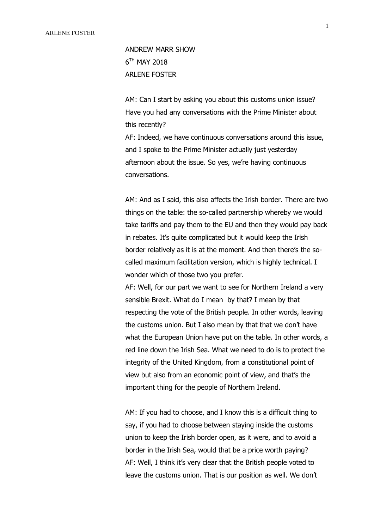ANDREW MARR SHOW 6 TH MAY 2018 ARLENE FOSTER

AM: Can I start by asking you about this customs union issue? Have you had any conversations with the Prime Minister about this recently?

AF: Indeed, we have continuous conversations around this issue, and I spoke to the Prime Minister actually just yesterday afternoon about the issue. So yes, we're having continuous conversations.

AM: And as I said, this also affects the Irish border. There are two things on the table: the so-called partnership whereby we would take tariffs and pay them to the EU and then they would pay back in rebates. It's quite complicated but it would keep the Irish border relatively as it is at the moment. And then there's the socalled maximum facilitation version, which is highly technical. I wonder which of those two you prefer.

AF: Well, for our part we want to see for Northern Ireland a very sensible Brexit. What do I mean by that? I mean by that respecting the vote of the British people. In other words, leaving the customs union. But I also mean by that that we don't have what the European Union have put on the table. In other words, a red line down the Irish Sea. What we need to do is to protect the integrity of the United Kingdom, from a constitutional point of view but also from an economic point of view, and that's the important thing for the people of Northern Ireland.

AM: If you had to choose, and I know this is a difficult thing to say, if you had to choose between staying inside the customs union to keep the Irish border open, as it were, and to avoid a border in the Irish Sea, would that be a price worth paying? AF: Well, I think it's very clear that the British people voted to leave the customs union. That is our position as well. We don't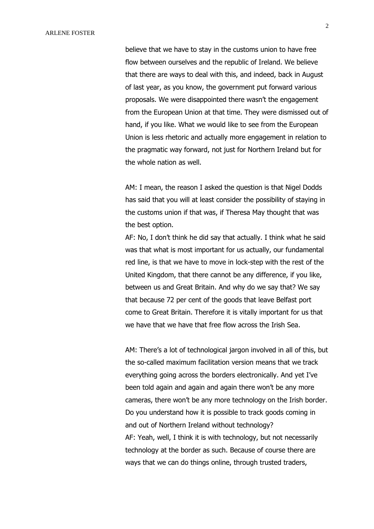believe that we have to stay in the customs union to have free flow between ourselves and the republic of Ireland. We believe that there are ways to deal with this, and indeed, back in August of last year, as you know, the government put forward various proposals. We were disappointed there wasn't the engagement from the European Union at that time. They were dismissed out of hand, if you like. What we would like to see from the European Union is less rhetoric and actually more engagement in relation to the pragmatic way forward, not just for Northern Ireland but for the whole nation as well.

AM: I mean, the reason I asked the question is that Nigel Dodds has said that you will at least consider the possibility of staying in the customs union if that was, if Theresa May thought that was the best option.

AF: No, I don't think he did say that actually. I think what he said was that what is most important for us actually, our fundamental red line, is that we have to move in lock-step with the rest of the United Kingdom, that there cannot be any difference, if you like, between us and Great Britain. And why do we say that? We say that because 72 per cent of the goods that leave Belfast port come to Great Britain. Therefore it is vitally important for us that we have that we have that free flow across the Irish Sea.

AM: There's a lot of technological jargon involved in all of this, but the so-called maximum facilitation version means that we track everything going across the borders electronically. And yet I've been told again and again and again there won't be any more cameras, there won't be any more technology on the Irish border. Do you understand how it is possible to track goods coming in and out of Northern Ireland without technology? AF: Yeah, well, I think it is with technology, but not necessarily technology at the border as such. Because of course there are ways that we can do things online, through trusted traders,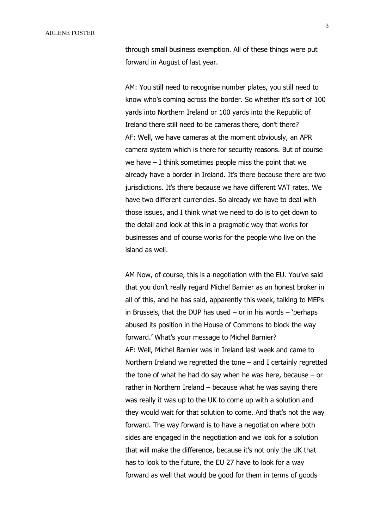through small business exemption. All of these things were put forward in August of last year.

AM: You still need to recognise number plates, you still need to know who's coming across the border. So whether it's sort of 100 yards into Northern Ireland or 100 yards into the Republic of Ireland there still need to be cameras there, don't there? AF: Well, we have cameras at the moment obviously, an APR camera system which is there for security reasons. But of course we have  $-$  I think sometimes people miss the point that we already have a border in Ireland. It's there because there are two jurisdictions. It's there because we have different VAT rates. We have two different currencies. So already we have to deal with those issues, and I think what we need to do is to get down to the detail and look at this in a pragmatic way that works for businesses and of course works for the people who live on the island as well.

AM Now, of course, this is a negotiation with the EU. You've said that you don't really regard Michel Barnier as an honest broker in all of this, and he has said, apparently this week, talking to MEPs in Brussels, that the DUP has used  $-$  or in his words  $-$  'perhaps abused its position in the House of Commons to block the way forward.' What's your message to Michel Barnier? AF: Well, Michel Barnier was in Ireland last week and came to Northern Ireland we regretted the tone – and I certainly regretted the tone of what he had do say when he was here, because – or rather in Northern Ireland – because what he was saying there was really it was up to the UK to come up with a solution and they would wait for that solution to come. And that's not the way forward. The way forward is to have a negotiation where both sides are engaged in the negotiation and we look for a solution that will make the difference, because it's not only the UK that has to look to the future, the EU 27 have to look for a way forward as well that would be good for them in terms of goods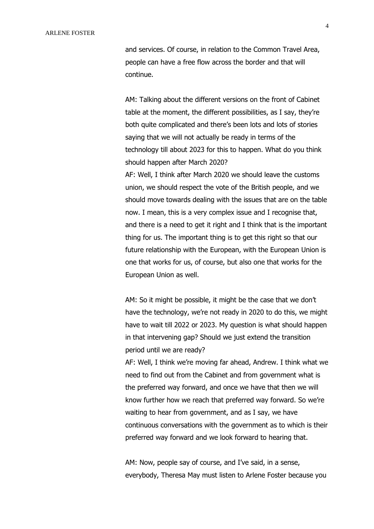and services. Of course, in relation to the Common Travel Area, people can have a free flow across the border and that will continue.

AM: Talking about the different versions on the front of Cabinet table at the moment, the different possibilities, as I say, they're both quite complicated and there's been lots and lots of stories saying that we will not actually be ready in terms of the technology till about 2023 for this to happen. What do you think should happen after March 2020?

AF: Well, I think after March 2020 we should leave the customs union, we should respect the vote of the British people, and we should move towards dealing with the issues that are on the table now. I mean, this is a very complex issue and I recognise that, and there is a need to get it right and I think that is the important thing for us. The important thing is to get this right so that our future relationship with the European, with the European Union is one that works for us, of course, but also one that works for the European Union as well.

AM: So it might be possible, it might be the case that we don't have the technology, we're not ready in 2020 to do this, we might have to wait till 2022 or 2023. My question is what should happen in that intervening gap? Should we just extend the transition period until we are ready?

AF: Well, I think we're moving far ahead, Andrew. I think what we need to find out from the Cabinet and from government what is the preferred way forward, and once we have that then we will know further how we reach that preferred way forward. So we're waiting to hear from government, and as I say, we have continuous conversations with the government as to which is their preferred way forward and we look forward to hearing that.

AM: Now, people say of course, and I've said, in a sense, everybody, Theresa May must listen to Arlene Foster because you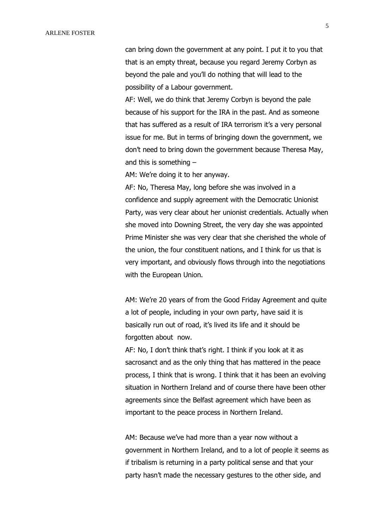can bring down the government at any point. I put it to you that that is an empty threat, because you regard Jeremy Corbyn as beyond the pale and you'll do nothing that will lead to the possibility of a Labour government.

AF: Well, we do think that Jeremy Corbyn is beyond the pale because of his support for the IRA in the past. And as someone that has suffered as a result of IRA terrorism it's a very personal issue for me. But in terms of bringing down the government, we don't need to bring down the government because Theresa May, and this is something –

AM: We're doing it to her anyway.

AF: No, Theresa May, long before she was involved in a confidence and supply agreement with the Democratic Unionist Party, was very clear about her unionist credentials. Actually when she moved into Downing Street, the very day she was appointed Prime Minister she was very clear that she cherished the whole of the union, the four constituent nations, and I think for us that is very important, and obviously flows through into the negotiations with the European Union.

AM: We're 20 years of from the Good Friday Agreement and quite a lot of people, including in your own party, have said it is basically run out of road, it's lived its life and it should be forgotten about now.

AF: No, I don't think that's right. I think if you look at it as sacrosanct and as the only thing that has mattered in the peace process, I think that is wrong. I think that it has been an evolving situation in Northern Ireland and of course there have been other agreements since the Belfast agreement which have been as important to the peace process in Northern Ireland.

AM: Because we've had more than a year now without a government in Northern Ireland, and to a lot of people it seems as if tribalism is returning in a party political sense and that your party hasn't made the necessary gestures to the other side, and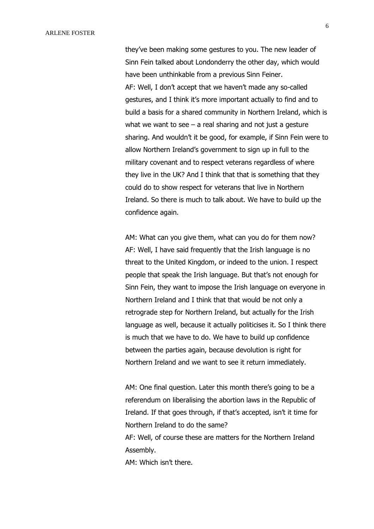they've been making some gestures to you. The new leader of Sinn Fein talked about Londonderry the other day, which would have been unthinkable from a previous Sinn Feiner. AF: Well, I don't accept that we haven't made any so-called gestures, and I think it's more important actually to find and to build a basis for a shared community in Northern Ireland, which is what we want to see  $-$  a real sharing and not just a gesture sharing. And wouldn't it be good, for example, if Sinn Fein were to allow Northern Ireland's government to sign up in full to the military covenant and to respect veterans regardless of where they live in the UK? And I think that that is something that they could do to show respect for veterans that live in Northern Ireland. So there is much to talk about. We have to build up the confidence again.

AM: What can you give them, what can you do for them now? AF: Well, I have said frequently that the Irish language is no threat to the United Kingdom, or indeed to the union. I respect people that speak the Irish language. But that's not enough for Sinn Fein, they want to impose the Irish language on everyone in Northern Ireland and I think that that would be not only a retrograde step for Northern Ireland, but actually for the Irish language as well, because it actually politicises it. So I think there is much that we have to do. We have to build up confidence between the parties again, because devolution is right for Northern Ireland and we want to see it return immediately.

AM: One final question. Later this month there's going to be a referendum on liberalising the abortion laws in the Republic of Ireland. If that goes through, if that's accepted, isn't it time for Northern Ireland to do the same? AF: Well, of course these are matters for the Northern Ireland Assembly.

AM: Which isn't there.